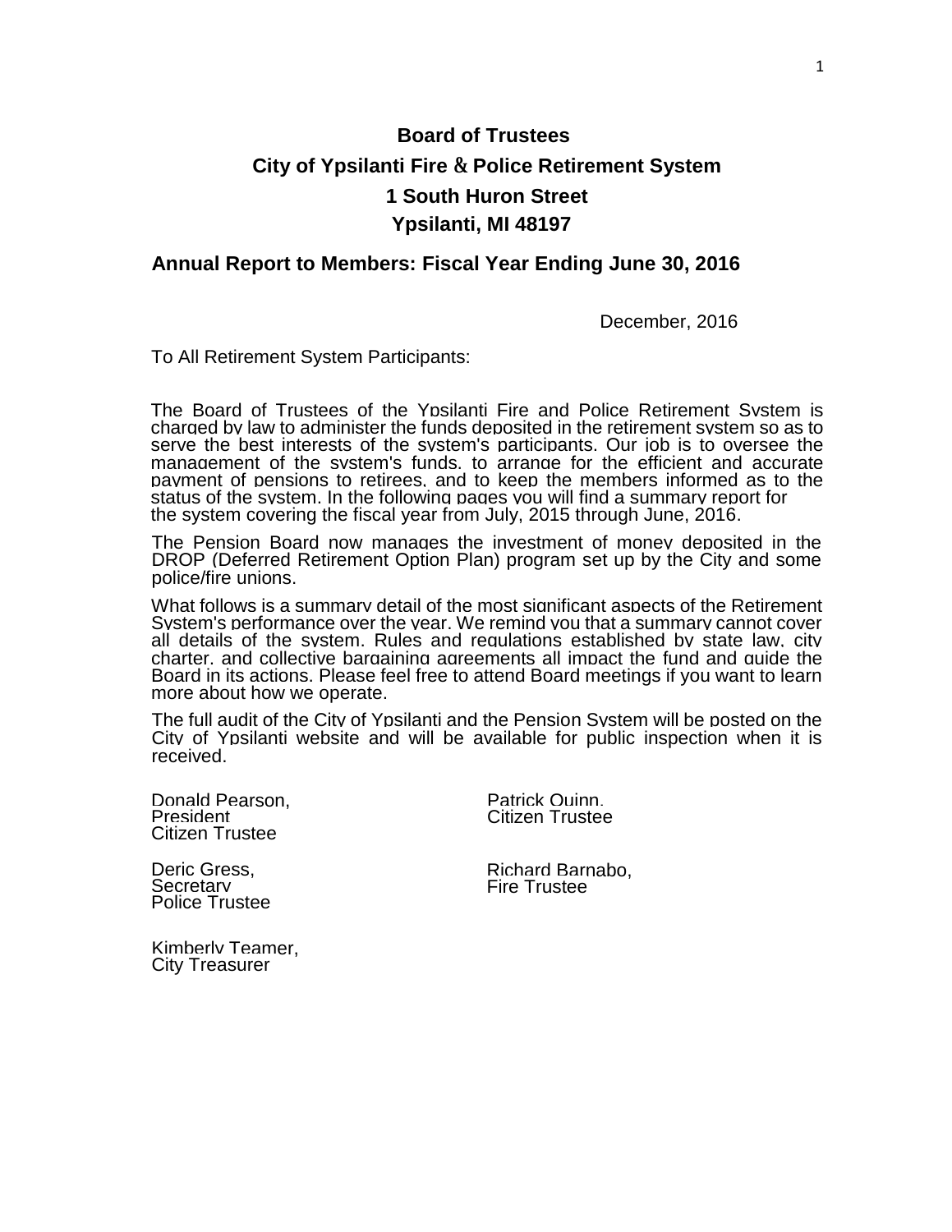# **Board of Trustees City of Ypsilanti Fire & Police Retirement System 1 South Huron Street Ypsilanti, MI 48197**

#### **Annual Report to Members: Fiscal Year Ending June 30, 2016**

December, 2016

To All Retirement System Participants:

The Board of Trustees of the Ypsilanti Fire and Police Retirement System is charged by law to administer the funds deposited in the retirement system so as to serve the best interests of the system's participants. Our job is to oversee the management of the system's funds, to arrange for the efficient and accurate payment of pensions to retirees, and to keep the members informed as to the status of the system. In the following pages you will find a summary report for the system covering the fiscal year from July, 2015 through June, 2016.

The Pension Board now manages the investment of money deposited in the DROP (Deferred Retirement Option Plan) program set up by the City and some police/fire unions.

What follows is a summary detail of the most significant aspects of the Retirement System's performance over the year. We remind you that a summary cannot cover all details of the system. Rules and regulations established by state law, city charter, and collective bargaining agreements all impact the fund and guide the Board in its actions. Please feel free to attend Board meetings if you want to learn more about how we operate.

The full audit of the City of Ypsilanti and the Pension System will be posted on the City of Ypsilanti website and will be available for public inspection when it is received.

Donald Pearson, President Citizen Trustee

Patrick Quinn, Citizen Trustee

Deric Gress, **Secretary** Police Trustee Richard Barnabo, Fire Trustee

Kimberly Teamer, City Treasurer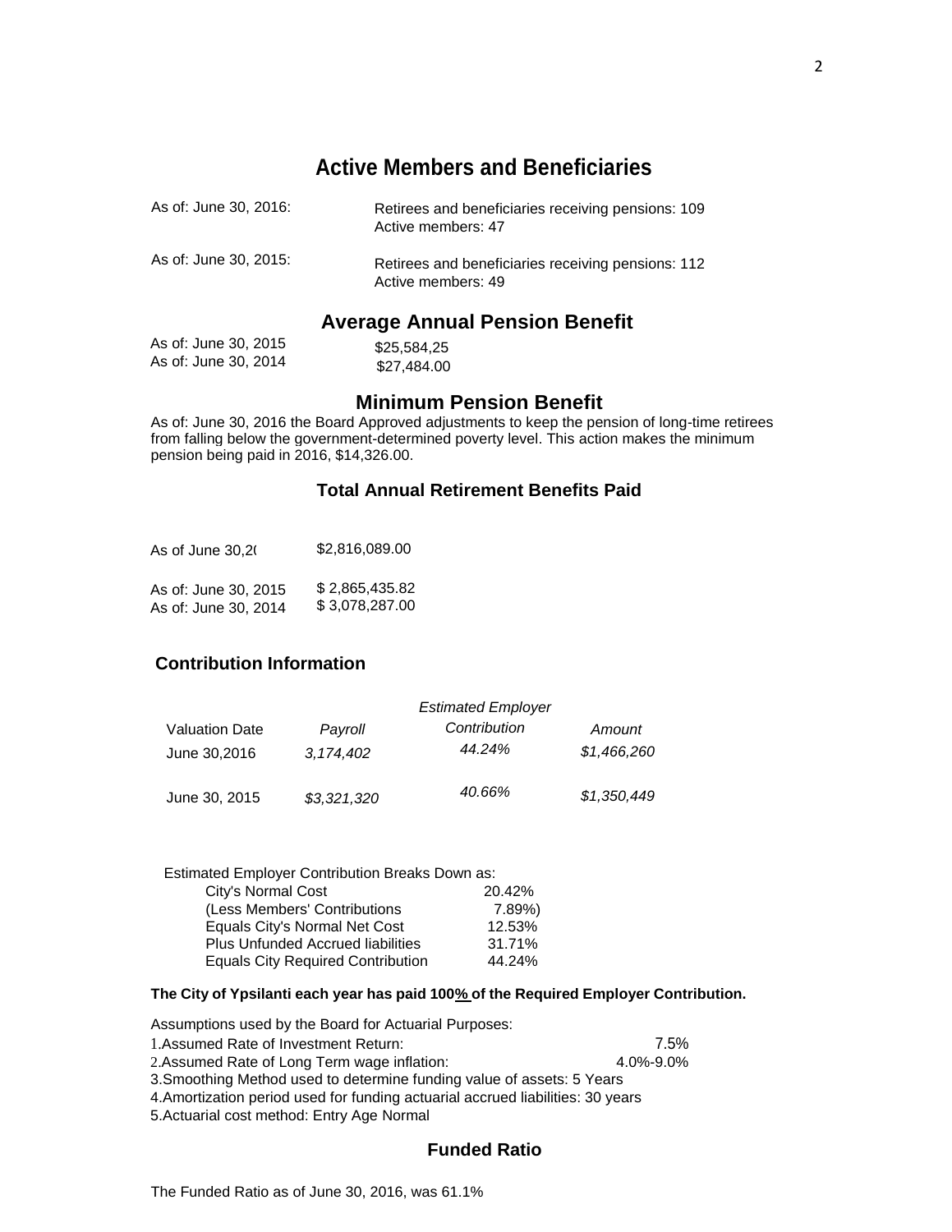# **Active Members and Beneficiaries**

| As of: June 30, 2016: | Retirees and beneficiaries receiving pensions: 109<br>Active members: 47 |
|-----------------------|--------------------------------------------------------------------------|
| As of: June 30, 2015: | Retirees and beneficiaries receiving pensions: 112<br>Active members: 49 |

# **Average Annual Pension Benefit**

| As of: June 30, 2015 | \$25,584,25 |
|----------------------|-------------|
| As of: June 30, 2014 | \$27,484.00 |

### **Minimum Pension Benefit**

As of: June 30, 2016 the Board Approved adjustments to keep the pension of long-time retirees from falling below the government-determined poverty level. This action makes the minimum pension being paid in 2016, \$14,326.00.

#### **Total Annual Retirement Benefits Paid**

| As of June 30.2(     | \$2,816,089.00 |
|----------------------|----------------|
| As of: June 30, 2015 | \$2.865.435.82 |
| As of: June 30, 2014 | \$3,078,287.00 |

#### **Contribution Information**

|                                       |                      | <b>Estimated Employer</b> |                       |
|---------------------------------------|----------------------|---------------------------|-----------------------|
| <b>Valuation Date</b><br>June 30,2016 | Payroll<br>3,174,402 | Contribution<br>44.24%    | Amount<br>\$1,466,260 |
| June 30, 2015                         | \$3,321,320          | 40.66%                    | \$1,350,449           |

| <b>Estimated Employer Contribution Breaks Down as:</b> |
|--------------------------------------------------------|
| 20.42%                                                 |
| 7.89%)                                                 |
| 12.53%                                                 |
| 31.71%                                                 |
| 44.24%                                                 |
|                                                        |

#### **The City of Ypsilanti each year has paid 100% of the Required Employer Contribution.**

| Assumptions used by the Board for Actuarial Purposes:                           |           |
|---------------------------------------------------------------------------------|-----------|
| 1. Assumed Rate of Investment Return:                                           | 7.5%      |
| 2. Assumed Rate of Long Term wage inflation:                                    | 4.0%-9.0% |
| 3. Smoothing Method used to determine funding value of assets: 5 Years          |           |
| 4. Amortization period used for funding actuarial accrued liabilities: 30 years |           |

5.Actuarial cost method: Entry Age Normal

#### **Funded Ratio**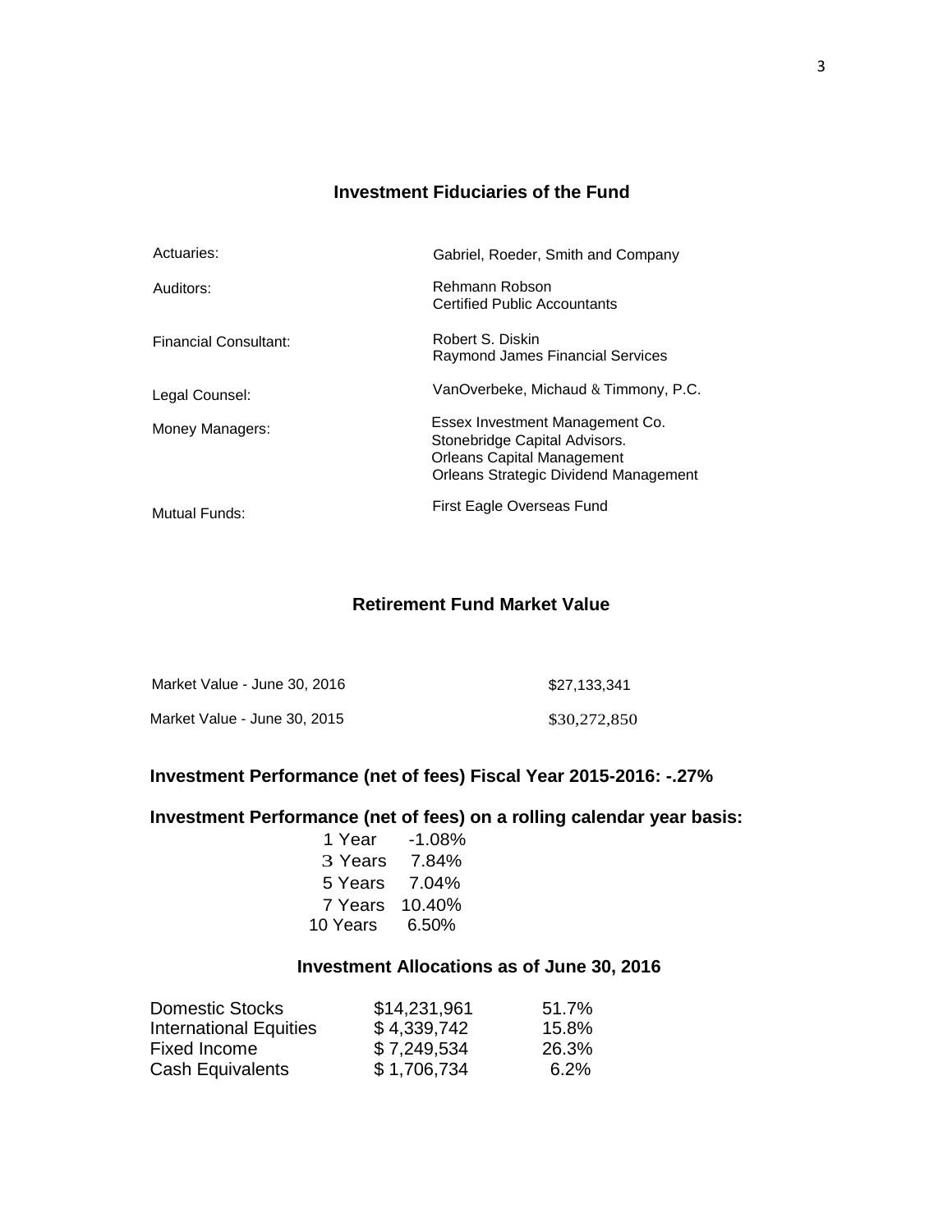### **Investment Fiduciaries of the Fund**

| Actuaries:                   | Gabriel, Roeder, Smith and Company                                                                                                                    |
|------------------------------|-------------------------------------------------------------------------------------------------------------------------------------------------------|
| Auditors:                    | Rehmann Robson<br><b>Certified Public Accountants</b>                                                                                                 |
| <b>Financial Consultant:</b> | Robert S. Diskin<br><b>Raymond James Financial Services</b>                                                                                           |
| Legal Counsel:               | VanOverbeke, Michaud & Timmony, P.C.                                                                                                                  |
| Money Managers:              | Essex Investment Management Co.<br>Stonebridge Capital Advisors.<br><b>Orleans Capital Management</b><br><b>Orleans Strategic Dividend Management</b> |
| Mutual Funds:                | First Eagle Overseas Fund                                                                                                                             |

#### **Retirement Fund Market Value**

| Market Value - June 30, 2016 | \$27,133,341 |
|------------------------------|--------------|
| Market Value - June 30, 2015 | \$30,272,850 |

### **Investment Performance (net of fees) Fiscal Year 2015-2016: -.27%**

# **Investment Performance (net of fees) on a rolling calendar year basis:**

|                | 1 Year -1,08% |
|----------------|---------------|
| 3 Years 7.84%  |               |
| 5 Years 7.04%  |               |
| 7 Years 10.40% |               |
| 10 Years 6.50% |               |

# **Investment Allocations as of June 30, 2016**

| <b>Domestic Stocks</b>        | \$14,231,961 | 51.7%   |
|-------------------------------|--------------|---------|
| <b>International Equities</b> | \$4,339,742  | 15.8%   |
| Fixed Income                  | \$7,249,534  | 26.3%   |
| <b>Cash Equivalents</b>       | \$1,706,734  | $6.2\%$ |